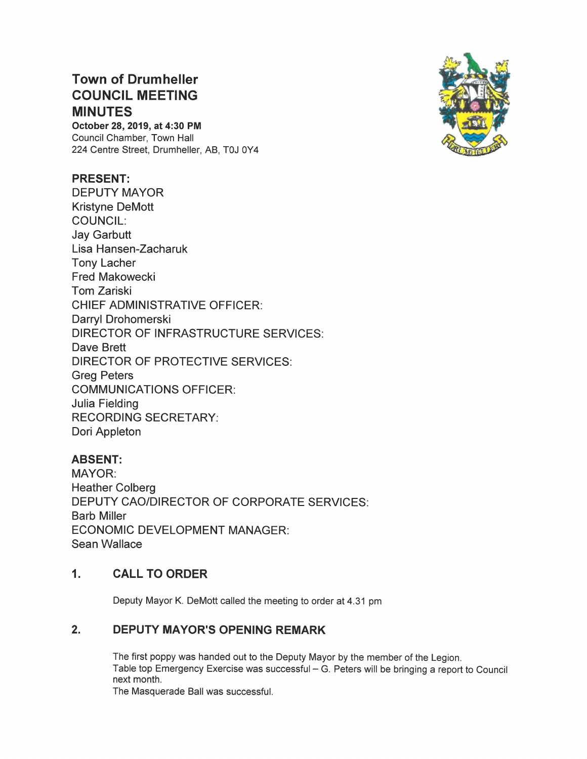# Town of Drumheller **COUNCIL MEETING** MINUTES

October 28, 2019, at 4:30 PM Council Chamber, Town Hall 224 Centre Street, Drumheller, AB, TOJ OY4

# PRESENT:

DEPUTY MAYOR Kristyne DeMott COUNCIL: Jay Garbutt Lisa Hansen—Zacharuk Tony Lacher Fred Makowecki **Tom Zariski** CHIEF ADMINISTRATIVE OFFICER: Darryl Drohomerski DIRECTOR OF INFRASTRUCTURE SERVICES: Dave Brett DIRECTOR OF PROTECTIVE SERVICES: Greg Peters COMMUNICATIONS OFFICER: Julia Fielding RECORDING SECRETARY. Dori Appleton

# ABSENT:

MAYOR: Heather Colberg DEPUTY CAO/DIRECTOR OF CORPORATE SERVICES: Barb Miller ECONOMIC DEVELOPMENT MANAGER: Sean Wallace

# 1. CALL TO ORDER

Deputy Mayor K. DeMott called the meeting to order at 4.31 pm

#### $2.$ DEPUTY MAYOR'S OPENING REMARK

The first poppy was handed out to the Deputy Mayor by the member of the Legion. Table top Emergency Exercise was successful - G. Peters will be bringing a report to Council next month.

The Masquerade Ball was successful.

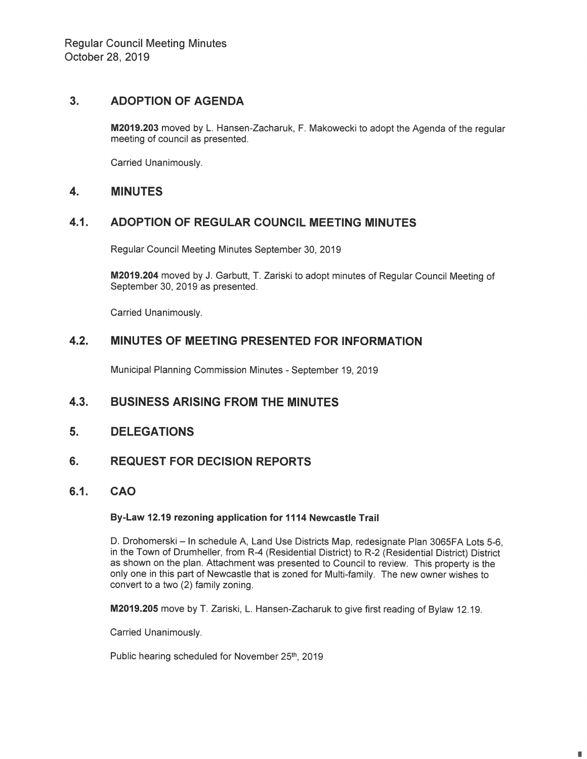#### $3<sub>1</sub>$ **ADOPTION OF AGENDA**

M2019.203 moved by L. Hansen-Zacharuk, F. Makowecki to adopt the Agenda of the regular meeting of council as presented.

Carried Unanimously.

#### $\overline{4}$ . **MINUTES**

#### $4.1.$ ADOPTION OF REGULAR COUNCIL MEETING MINUTES

Regular Council Meeting Minutes September 30, 2019

M2019.204 moved by J. Garbutt, T. Zariski to adopt minutes of Regular Council Meeting of September 30, 2019 as presented.

Carried Unanimously.

#### $4.2.$ **MINUTES OF MEETING PRESENTED FOR INFORMATION**

Municipal Planning Commission Minutes - September 19, 2019

#### $4.3.$ **BUSINESS ARISING FROM THE MINUTES**

#### 5. **DELEGATIONS**

#### 6. **REQUEST FOR DECISION REPORTS**

#### $6.1.$ CAO

### By-Law 12.19 rezoning application for 1114 Newcastle Trail

D. Drohomerski – In schedule A, Land Use Districts Map, redesignate Plan 3065FA Lots 5-6. in the Town of Drumheller, from R-4 (Residential District) to R-2 (Residential District) District as shown on the plan. Attachment was presented to Council to review. This property is the only one in this part of Newcastle that is zoned for Multi-family. The new owner wishes to convert to a two (2) family zoning.

×

M2019.205 move by T. Zariski, L. Hansen-Zacharuk to give first reading of Bylaw 12.19.

Carried Unanimously.

Public hearing scheduled for November 25th, 2019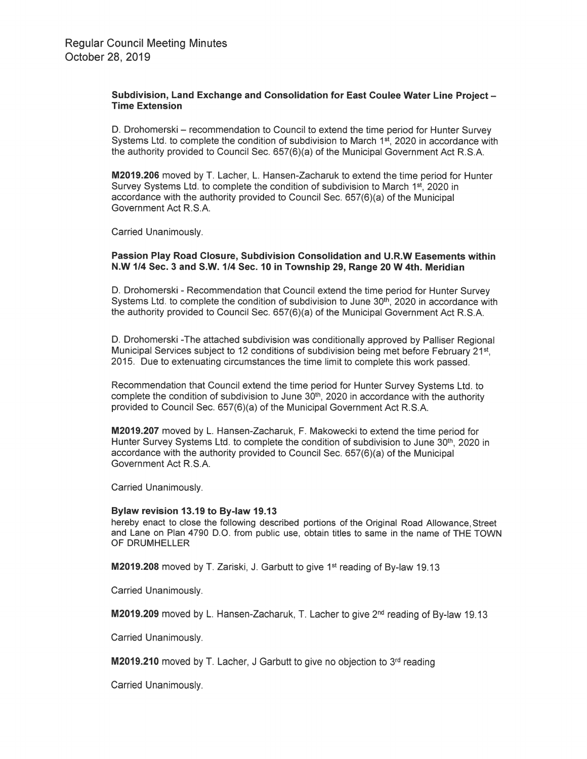### Subdivision, Land Exchange and Consolidation for East Coulee Water Line Project-Time Extension

D. Drohomerski — recommendation to Council to extend the time period for Hunter Survey Systems Ltd. to complete the condition of subdivision to March  $1<sup>st</sup>$ , 2020 in accordance with the authority provided to Council Sec. 657(6)(a) of the Municipal Government Act R.S.A.

M2019.206 moved by T. Lacher, L. Hansen-Zacharuk to extend the time period for Hunter Survey Systems Ltd. to complete the condition of subdivision to March 1<sup>st</sup>, 2020 in accordance with the authority provided to Council Sec. 657(6)(a) of the Municipal Government Act R.S.A.

Carried Unanimously.

### Passion Play Road Closure, Subdivision Consolidation and U.R.W Easements within N.W 1/4 Sec. 3 and S.W. 1/4 Sec. 10 in Township 29, Range 20 W 4th. Meridian

D. Drohomerski - Recommendation that Council extend the time period for Hunter Survey Systems Ltd. to complete the condition of subdivision to June 30<sup>th</sup>, 2020 in accordance with the authority provided to Council Sec. 657(6)(a) of the Municipal Government Act R.S.A.

D. Drohomerski -The attached subdivision was conditionally approved by Palliser Regional Municipal Services subject to 12 conditions of subdivision being met before February 21<sup>st</sup>. 2015. Due to extenuating circumstances the time limit to complete this work passed.

Recommendation that Council extend the time period for Hunter Survey Systems Ltd. to complete the condition of subdivision to June  $30<sup>th</sup>$ , 2020 in accordance with the authority provided to Council Sec. 657(6)(a) of the Municipal Government Act R.S.A.

M2019.207 moved by L. Hansen-Zacharuk, F. Makowecki to extend the time period for Hunter Survey Systems Ltd. to complete the condition of subdivision to June 30<sup>th</sup>, 2020 in accordance with the authority provided to Council Sec. 657(6)(a) of the Municipal Government Act R.S.A.

Carried Unanimously.

### Bylaw revision 13.19 to By-law 19.13

hereby enact to close the following described portions of the Original Road Allowance, Street and Lane on Plan 4790 D.O. from public use, obtain titles to same in the name of THE TOWN OF DRUMHELLER

**M2019.208** moved by T. Zariski, J. Garbutt to give 1<sup>st</sup> reading of By-law 19.13

Carried Unanimously.

**M2019.209** moved by L. Hansen-Zacharuk, T. Lacher to give  $2^{nd}$  reading of By-law 19.13

Carried Unanimously.

M2019.210 moved by T. Lacher, J Garbutt to give no objection to 3rd reading

Carried Unanimously.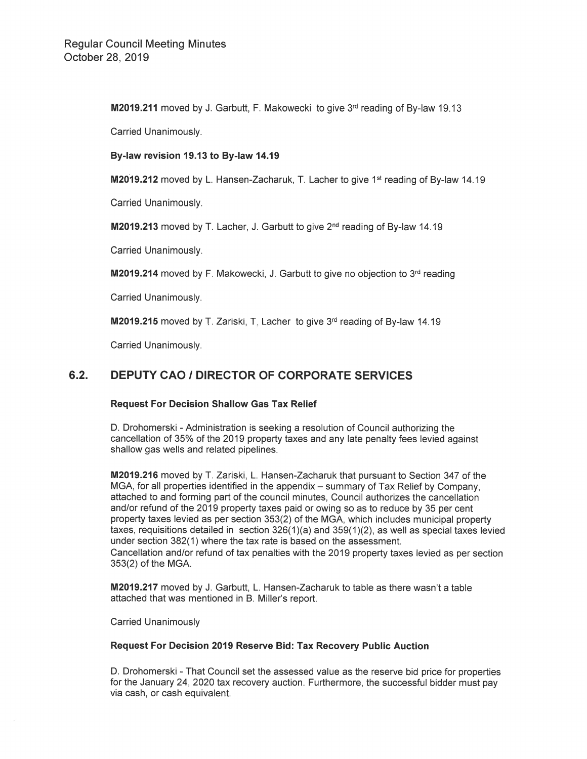**M2019.211** moved by J. Garbutt, F. Makowecki to give 3<sup>rd</sup> reading of By-law 19.13

Carried Unanimously.

### By-law revision 19.13 to By-law 14.19

M2019.212 moved by L. Hansen-Zacharuk, T. Lacher to give 1<sup>st</sup> reading of By-law 14.19

Carried Unanimously.

M2019.213 moved by T. Lacher, J. Garbutt to give 2<sup>nd</sup> reading of By-law 14.19

Carried Unanimously.

M2019.214 moved by F. Makowecki, J. Garbutt to give no objection to 3<sup>rd</sup> reading

Carried Unanimously.

M2019.215 moved by T. Zariski, T. Lacher to give 3rd reading of By-law 14.19

Carried Unanimously.

#### $6.2.$ **DEPUTY CAO / DIRECTOR OF CORPORATE SERVICES**

### **Request For Decision Shallow Gas Tax Relief**

D. Drohomerski - Administration is seeking a resolution of Council authorizing the cancellation of 35% of the 2019 property taxes and any late penalty fees levied against shallow gas wells and related pipelines.

M2019.216 moved by T. Zariski, L. Hansen-Zacharuk that pursuant to Section 347 of the MGA, for all properties identified in the appendix – summary of Tax Relief by Company. attached to and forming part of the council minutes, Council authorizes the cancellation and/or refund of the 2019 property taxes paid or owing so as to reduce by 35 per cent property taxes levied as per section 353(2) of the MGA, which includes municipal property taxes, requisitions detailed in section  $326(1)(a)$  and  $359(1)(2)$ , as well as special taxes levied under section 382(1) where the tax rate is based on the assessment. Cancellation and/or refund of tax penalties with the 2019 property taxes levied as per section 353(2) of the MGA.

M2019.217 moved by J. Garbutt, L. Hansen-Zacharuk to table as there wasn't a table attached that was mentioned in B. Miller's report.

**Carried Unanimously** 

### **Request For Decision 2019 Reserve Bid: Tax Recovery Public Auction**

D. Drohomerski - That Council set the assessed value as the reserve bid price for properties for the January 24, 2020 tax recovery auction. Furthermore, the successful bidder must pay via cash, or cash equivalent.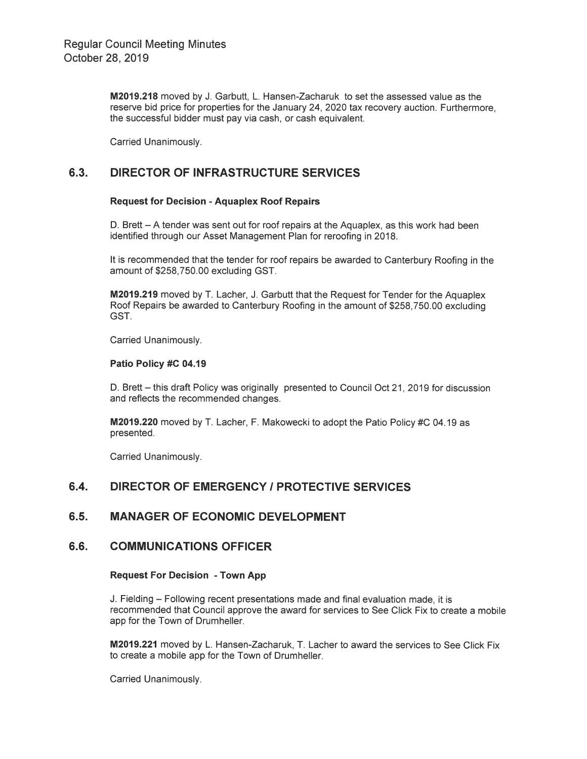M2019.218 moved by J. Garbutt, L. Hansen-Zacharuk to set the assessed value as the reserve bid price for properties for the January 24, 2020 tax recovery auction. Furthermore, the successful bidder must pay via cash, or cash equivalent.

Carried Unanimously.

#### $6.3.$ **DIRECTOR OF INFRASTRUCTURE SERVICES**

### **Request for Decision - Aquaplex Roof Repairs**

D. Brett – A tender was sent out for roof repairs at the Aquaplex, as this work had been identified through our Asset Management Plan for reroofing in 2018.

It is recommended that the tender for roof repairs be awarded to Canterbury Roofing in the amount of \$258.750.00 excluding GST.

M2019.219 moved by T. Lacher, J. Garbutt that the Request for Tender for the Aquaplex Roof Repairs be awarded to Canterbury Roofing in the amount of \$258,750.00 excluding GST.

Carried Unanimously.

### Patio Policy #C 04.19

D. Brett – this draft Policy was originally presented to Council Oct 21, 2019 for discussion and reflects the recommended changes.

M2019.220 moved by T. Lacher, F. Makowecki to adopt the Patio Policy #C 04.19 as presented.

Carried Unanimously.

#### $6.4.$ **DIRECTOR OF EMERGENCY / PROTECTIVE SERVICES**

#### $6.5.$ **MANAGER OF ECONOMIC DEVELOPMENT**

#### 6.6. **COMMUNICATIONS OFFICER**

### **Request For Decision - Town App**

J. Fielding – Following recent presentations made and final evaluation made, it is recommended that Council approve the award for services to See Click Fix to create a mobile app for the Town of Drumheller.

M2019.221 moved by L. Hansen-Zacharuk, T. Lacher to award the services to See Click Fix to create a mobile app for the Town of Drumheller.

Carried Unanimously.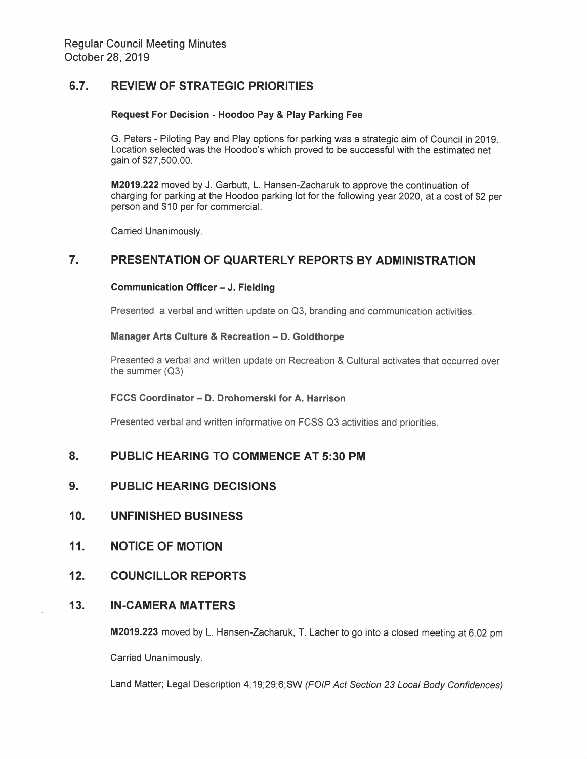#### 6.7. **REVIEW OF STRATEGIC PRIORITIES**

### **Request For Decision - Hoodoo Pay & Play Parking Fee**

G. Peters - Piloting Pay and Play options for parking was a strategic aim of Council in 2019. Location selected was the Hoodoo's which proved to be successful with the estimated net gain of \$27,500.00.

M2019.222 moved by J. Garbutt, L. Hansen-Zacharuk to approve the continuation of charging for parking at the Hoodoo parking lot for the following year 2020, at a cost of \$2 per person and \$10 per for commercial.

Carried Unanimously.

#### $\overline{7}$ . PRESENTATION OF QUARTERLY REPORTS BY ADMINISTRATION

### **Communication Officer - J. Fielding**

Presented a verbal and written update on Q3, branding and communication activities.

### Manager Arts Culture & Recreation - D. Goldthorpe

Presented a verbal and written update on Recreation & Cultural activates that occurred over the summer (Q3)

### FCCS Coordinator - D. Drohomerski for A. Harrison

Presented verbal and written informative on FCSS Q3 activities and priorities.

#### 8. **PUBLIC HEARING TO COMMENCE AT 5:30 PM**

#### $9<sub>1</sub>$ **PUBLIC HEARING DECISIONS**

#### $10<sub>1</sub>$ **UNFINISHED BUSINESS**

 $11.$ **NOTICE OF MOTION** 

#### $12.$ **COUNCILLOR REPORTS**

#### $13.$ **IN-CAMERA MATTERS**

M2019.223 moved by L. Hansen-Zacharuk, T. Lacher to go into a closed meeting at 6.02 pm

Carried Unanimously.

Land Matter; Legal Description 4;19;29;6;SW (FOIP Act Section 23 Local Body Confidences)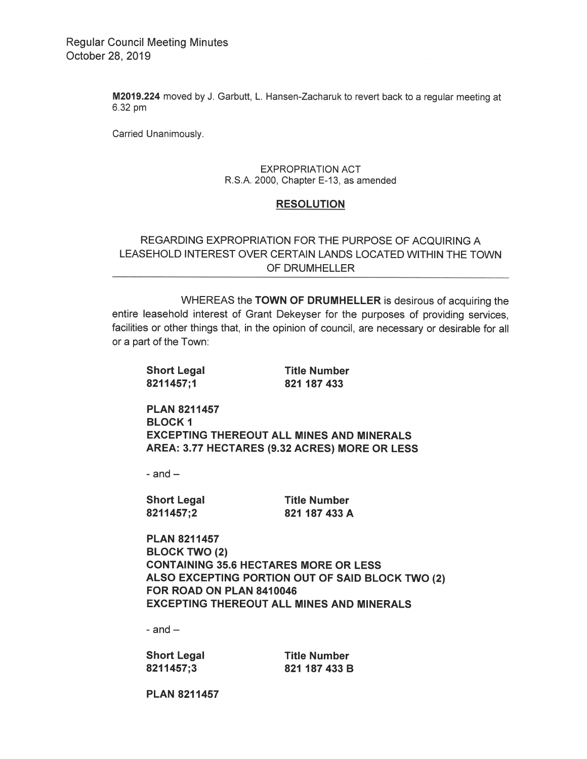M2019.224 moved by J. Garbutt, L. Hansen-Zacharuk to revert back to a regular meeting at 6.32 pm

Carried Unanimously.

### **EXPROPRIATION ACT** R.S.A. 2000, Chapter E-13, as amended

# **RESOLUTION**

# REGARDING EXPROPRIATION FOR THE PURPOSE OF ACQUIRING A LEASEHOLD INTEREST OVER CERTAIN LANDS LOCATED WITHIN THE TOWN OF DRUMHELLER

WHEREAS the TOWN OF DRUMHELLER is desirous of acquiring the entire leasehold interest of Grant Dekeyser for the purposes of providing services, facilities or other things that, in the opinion of council, are necessary or desirable for all or a part of the Town:

Short Legal Title Number 8211457;1

821 187 433

**PLAN 8211457 BLOCK1 EXCEPTING THEREOUT ALL MINES AND MINERALS** AREA: 3.77 HECTARES (9.32 ACRES) MORE OR LESS

 $-$  and  $-$ 

Short Legal Title Number<br>8211457;2 821 187 433 A

**PLAN 8211457 BLOCK TWO (2) CONTAINING 35.6 HECTARES MORE OR LESS** ALSO EXCEPTING PORTION OUT OF SAID BLOCK TWO (2) FOR ROAD ON PLAN 8410046 **EXCEPTING THEREOUT ALL MINES AND MINERALS** 

 $-$  and  $-$ 

**Short Legal** 8211457;3

**Title Number** 821 187 433 B

**PLAN 8211457**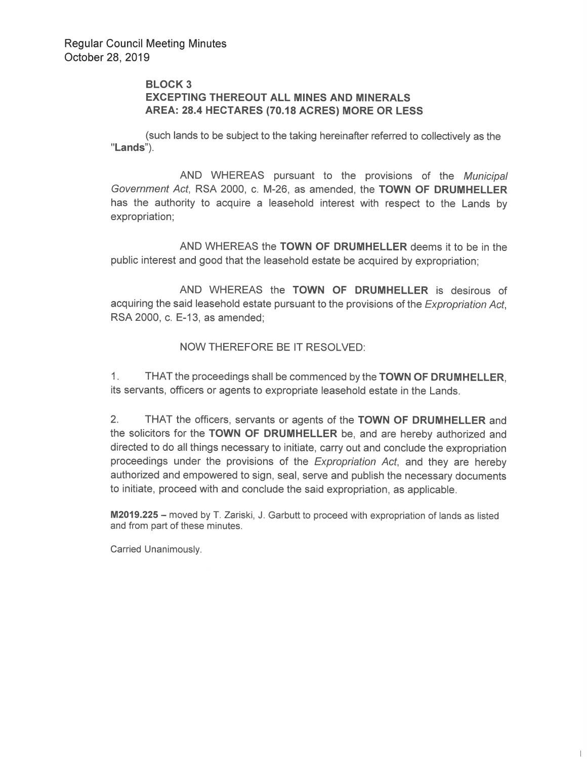## **BLOCK 3 EXCEPTING THEREOUT ALL MINES AND MINERALS** AREA: 28.4 HECTARES (70.18 ACRES) MORE OR LESS

(such lands to be subject to the taking hereinafter referred to collectively as the "Lands").

AND WHEREAS pursuant to the provisions of the Municipal Government Act, RSA 2000, c. M-26, as amended, the TOWN OF DRUMHELLER has the authority to acquire a leasehold interest with respect to the Lands by expropriation;

AND WHEREAS the TOWN OF DRUMHELLER deems it to be in the public interest and good that the leasehold estate be acquired by expropriation;

AND WHEREAS the TOWN OF DRUMHELLER is desirous of acquiring the said leasehold estate pursuant to the provisions of the Expropriation Act, RSA 2000, c. E-13, as amended;

# NOW THEREFORE BE IT RESOLVED:

 $1.$ THAT the proceedings shall be commenced by the TOWN OF DRUMHELLER, its servants, officers or agents to expropriate leasehold estate in the Lands.

 $2.$ THAT the officers, servants or agents of the TOWN OF DRUMHELLER and the solicitors for the TOWN OF DRUMHELLER be, and are hereby authorized and directed to do all things necessary to initiate, carry out and conclude the expropriation proceedings under the provisions of the Expropriation Act, and they are hereby authorized and empowered to sign, seal, serve and publish the necessary documents to initiate, proceed with and conclude the said expropriation, as applicable.

M2019.225 - moved by T. Zariski, J. Garbutt to proceed with expropriation of lands as listed and from part of these minutes.

Carried Unanimously.